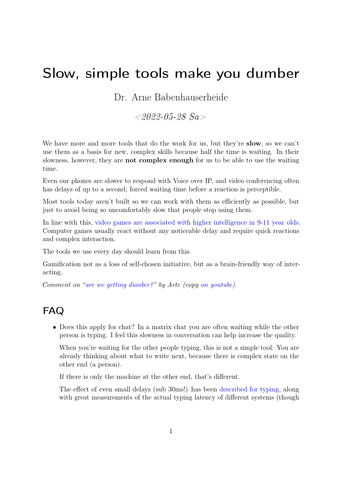## Slow, simple tools make you dumber

Dr. Arne Babenhauserheide

 $< 2022 - 0.5 - 28$  Sa  $>$ 

We have more and more tools that do the work for us, but they're **slow**, so we can't use them as a basis for new, complex skills because half the time is waiting. In their slowness, however, they are not complex enough for us to be able to use the waiting time.

Even our phones are slower to respond with Voice over IP, and video conferencing often has delays of up to a second; forced waiting time before a reaction is perceptible.

Most tools today aren't built so we can work with them as efficiently as possible, but just to avoid being so uncomfortably slow that people stop using them.

In line with this, [video games are associated with higher intelligence in 9-11 year olds.](https://www.heise.de/news/Studie-Videospiele-koennen-Kinder-intelligenter-machen-7096762.html) Computer games usually react without any noticeable delay and require quick reactions and complex interaction.

The tools we use every day should learn from this.

Gamification not as a loss of self-chosen initiative, but as a brain-friendly way of interacting.

Comment on ["are we getting dumber?](https://www.ardmediathek.de/video/42-die-antwort-auf-fast-alles/werden-wir-immer-duemmer-42-die-antwort-auf-fast-alles/arte/Y3JpZDovL2FydGUudHYvdmlkZW9zLzEwNDg0MS0wMDEtQQ)" by Arte (copy [on youtube\)](https://www.youtube.com/watch?v=_dAtdSVeiLM).

## FAQ

• Does this apply for chat? In a matrix chat you are often waiting while the other person is typing. I feel this slowness in conversation can help increase the quality.

When you're waiting for the other people typing, this is not a simple tool: You are already thinking about what to write next, because there is complex state on the other end (a person).

If there is only the machine at the other end, that's different.

The effect of even small delays (sub 30ms!) has been [described for typing,](https://pavelfatin.com/typing-with-pleasure/#human-side) along with great measurements of the actual typing latency of different systems (though